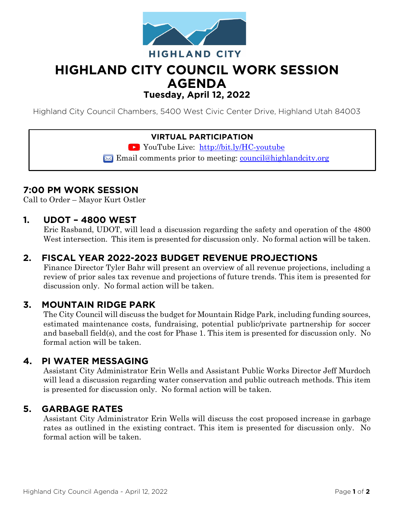

# **HIGHLAND CITY COUNCIL WORK SESSION AGENDA Tuesday, April 12, 2022**

Highland City Council Chambers, 5400 West Civic Center Drive, Highland Utah 84003

#### **VIRTUAL PARTICIPATION**

YouTube Live: <http://bit.ly/HC-youtube>

 $\boxtimes$  Email comments prior to meeting: [council@highlandcity.org](mailto:council@highlandcity.org)

# **7:00 PM WORK SESSION**

Call to Order – Mayor Kurt Ostler

### **1. UDOT – 4800 WEST**

Eric Rasband, UDOT, will lead a discussion regarding the safety and operation of the 4800 West intersection. This item is presented for discussion only. No formal action will be taken.

# **2. FISCAL YEAR 2022-2023 BUDGET REVENUE PROJECTIONS**

Finance Director Tyler Bahr will present an overview of all revenue projections, including a review of prior sales tax revenue and projections of future trends. This item is presented for discussion only. No formal action will be taken.

### **3. MOUNTAIN RIDGE PARK**

The City Council will discuss the budget for Mountain Ridge Park, including funding sources, estimated maintenance costs, fundraising, potential public/private partnership for soccer and baseball field(s), and the cost for Phase 1. This item is presented for discussion only. No formal action will be taken.

### **4. PI WATER MESSAGING**

Assistant City Administrator Erin Wells and Assistant Public Works Director Jeff Murdoch will lead a discussion regarding water conservation and public outreach methods. This item is presented for discussion only. No formal action will be taken.

#### **5. GARBAGE RATES**

Assistant City Administrator Erin Wells will discuss the cost proposed increase in garbage rates as outlined in the existing contract. This item is presented for discussion only. No formal action will be taken.